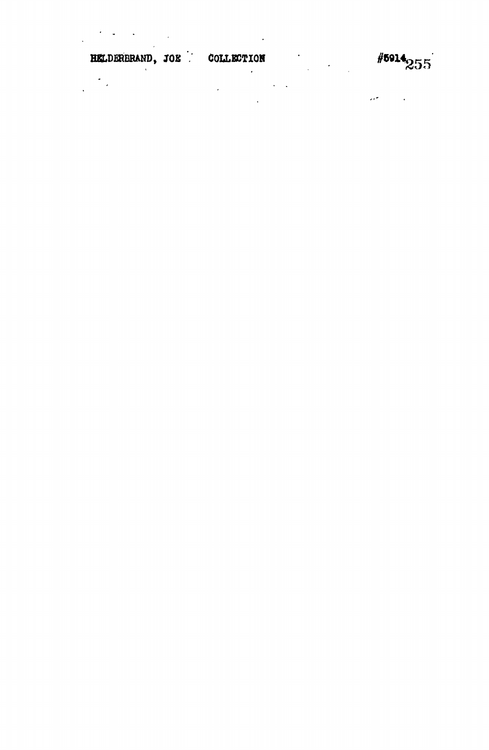$\frac{1}{2} \left( \frac{1}{2} \left( \frac{1}{2} \right) \right) \left( \frac{1}{2} \left( \frac{1}{2} \right) \right)$ 

 $\#$ <sup>5914</sup>255

**HKLDERBRAND, JOE COLLECTION**  $\frac{1}{\sqrt{2\pi}}\sum_{i=1}^{n} \frac{1}{\sqrt{2\pi}}\left(\frac{1}{\sqrt{2\pi}}\right)^2$  $\mathcal{A}(\mathcal{C})$  and  $\mathcal{C}(\mathcal{C})$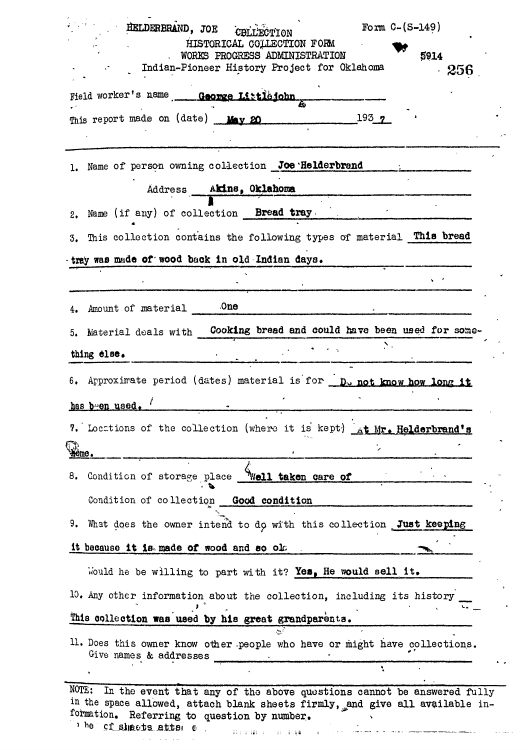| Form $C-(S-149)$<br>HELDERBRAND, JOE<br>CBLLECTION                                                                                                                                                            |
|---------------------------------------------------------------------------------------------------------------------------------------------------------------------------------------------------------------|
| HISTORICAL COLLECTION FORM<br>WORKS PROGRESS ADMINISTRATION<br>5914                                                                                                                                           |
| Indian-Pioneer History Project for Oklahoma<br>256                                                                                                                                                            |
| Field worker's name George Littlejohn                                                                                                                                                                         |
| 193 <sub>7</sub><br>This report made on (date) May 20                                                                                                                                                         |
|                                                                                                                                                                                                               |
| Name of person owning collection Joe Helderbrand<br>ı.                                                                                                                                                        |
| Address Akins, Oklahoma                                                                                                                                                                                       |
| Name (if any) of collection <b>Bread tray</b><br>2.                                                                                                                                                           |
| 3. This collection contains the following types of material This bread                                                                                                                                        |
| tray was made of wood back in old Indian days.                                                                                                                                                                |
|                                                                                                                                                                                                               |
| 0 <sub>ne</sub><br>Amount of material                                                                                                                                                                         |
| Material deals with Cooking bread and could have been used for some-<br>5.                                                                                                                                    |
| thing else.                                                                                                                                                                                                   |
|                                                                                                                                                                                                               |
| 6. Approximate period (dates) material is for D <sub>w</sub> not know how long it                                                                                                                             |
| has been used.                                                                                                                                                                                                |
| 7. Locations of the collection (where it is kept) at Mr. Helderbrand's                                                                                                                                        |
| tome.                                                                                                                                                                                                         |
| 8. Condition of storage place Well taken care of                                                                                                                                                              |
| Condition of collection Good condition                                                                                                                                                                        |
| 9. What does the owner intend to do with this collection Just keeping                                                                                                                                         |
| it because it is made of wood and so old                                                                                                                                                                      |
| Would he be willing to part with it? Yes, He would sell it.                                                                                                                                                   |
| 10. Any other information about the collection, including its history                                                                                                                                         |
| This collection was used by his great grandparents.                                                                                                                                                           |
| 11. Does this owner know other people who have or might have collections.<br>Give names & addresses                                                                                                           |
|                                                                                                                                                                                                               |
| NOTE:<br>In the event that any of the above questions cannot be answered fully<br>in the space allowed, attach blank sheets firmly, and give all available in-<br>formation. Referring to question by number. |